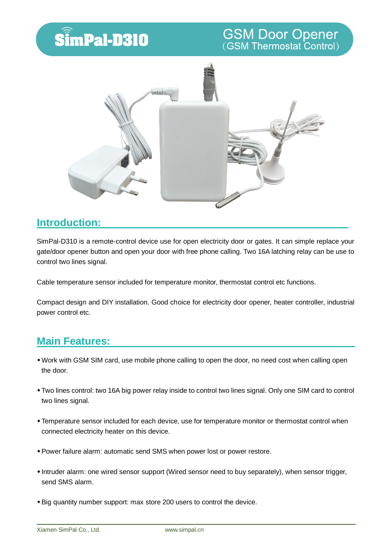## SimPal-D310

# **GSM Door Opener**<br>(GSM Thermostat Control)



#### **Introduction:**

SimPal-D310 is a remote-control device use for open electricity door or gates. It can simple replace your gate/door opener button and open your door with free phone calling. Two 16A latching relay can be use to control two lines signal.

Cable temperature sensor included for temperature monitor, thermostat control etc functions.

Compact design and DIY installation. Good choice for electricity door opener, heater controller, industrial power control etc.

#### **Main Features:**

- Work with GSM SIM card, use mobile phone calling to open the door, no need cost when calling open the door.
- Two lines control: two 16A big power relay inside to control two lines signal. Only one SIM card to control two lines signal.
- Temperature sensor included for each device, use for temperature monitor or thermostat control when connected electricity heater on this device.
- Power failure alarm: automatic send SMS when power lost or power restore.
- Intruder alarm: one wired sensor support (Wired sensor need to buy separately), when sensor trigger, send SMS alarm.
- Big quantity number support: max store 200 users to control the device.